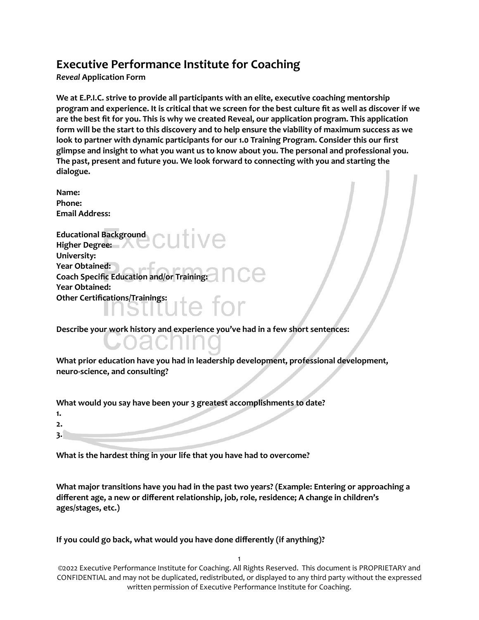## **Executive Performance Institute for Coaching**

*Reveal* **Application Form**

**We at E.P.I.C. strive to provide all participants with an elite, executive coaching mentorship** program and experience. It is critical that we screen for the best culture fit as well as discover if we **are the best fit for you. This is why we created Reveal, our application program. This application** form will be the start to this discovery and to help ensure the viability of maximum success as we **look to partner with dynamic participants for our 1.0 Training Program. Consider this our first glimpse and insight to what you want us to know about you. The personal and professional you. The past, present and future you. We look forward to connecting with you and starting the dialogue.**

**Name: Phone: Email Address:**

**Educational Background Higher Degree: University: Year Obtained: Coach Specific Education and/or Training: Year Obtained: Other Certifications/Trainings:**

**Describe your work history and experience you've had in a few short sentences:**

**What prior education have you had in leadership development, professional development, neuro-science, and consulting?**

**What would you say have been your 3 greatest accomplishments to date?**

| 1. |  |
|----|--|
| 2. |  |
| ∢  |  |

**What is the hardest thing in your life that you have had to overcome?**

**What major transitions have you had in the past two years? (Example: Entering or approaching a different age, a new or different relationship, job, role, residence; A change in children's ages/stages, etc.)**

**If you could go back, what would you have done differently (if anything)?**

1 ©2022 Executive Performance Institute for Coaching. All Rights Reserved. This document is PROPRIETARY and CONFIDENTIAL and may not be duplicated, redistributed, or displayed to any third party without the expressed written permission of Executive Performance Institute for Coaching.